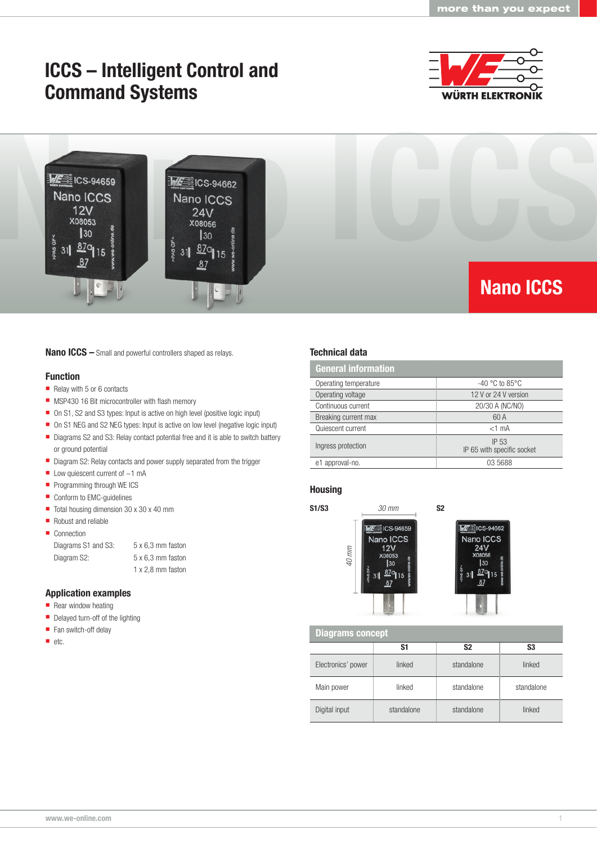# ICCS – Intelligent Control and Command Systems





#### Nano ICCS – Small and powerful controllers shaped as relays.

#### Function

- Relay with 5 or 6 contacts
- **MSP430 16 Bit microcontroller with flash memory**
- On S1, S2 and S3 types: Input is active on high level (positive logic input)
- On S1 NEG and S2 NEG types: Input is active on low level (negative logic input)
- Diagrams S2 and S3: Relay contact potential free and it is able to switch battery or ground potential
- Diagram S2: Relay contacts and power supply separated from the trigger
- $\blacksquare$  Low quiescent current of  $\sim$ 1 mA
- **Programming through WE ICS**
- Conform to EMC-guidelines
- Total housing dimension 30 x 30 x 40 mm
- Robust and reliable
- Connection

Diagrams S1 and S3: 5 x 6,3 mm faston Diagram S2: 5 x 6,3 mm faston

1 x 2,8 mm faston

### Application examples

- $\blacksquare$  Rear window heating
- Delayed turn-off of the lighting
- Fan switch-off delay
- etc.

### Technical data

| <b>General information</b> |                                     |  |  |  |
|----------------------------|-------------------------------------|--|--|--|
| Operating temperature      | $-40$ °C to 85°C                    |  |  |  |
| Operating voltage          | 12 V or 24 V version                |  |  |  |
| Continuous current         | 20/30 A (NC/NO)                     |  |  |  |
| Breaking current max       | 60 A                                |  |  |  |
| Quiescent current          | $<$ 1 mA                            |  |  |  |
| Ingress protection         | IP 53<br>IP 65 with specific socket |  |  |  |
| e1 approval-no.            | 03 5688                             |  |  |  |

## Housing





Diagrams concept

|                    | S1         | S <sub>2</sub> | S <sub>3</sub> |
|--------------------|------------|----------------|----------------|
| Electronics' power | linked     | standalone     | linked         |
| Main power         | linked     | standalone     | standalone     |
| Digital input      | standalone | standalone     | linked         |